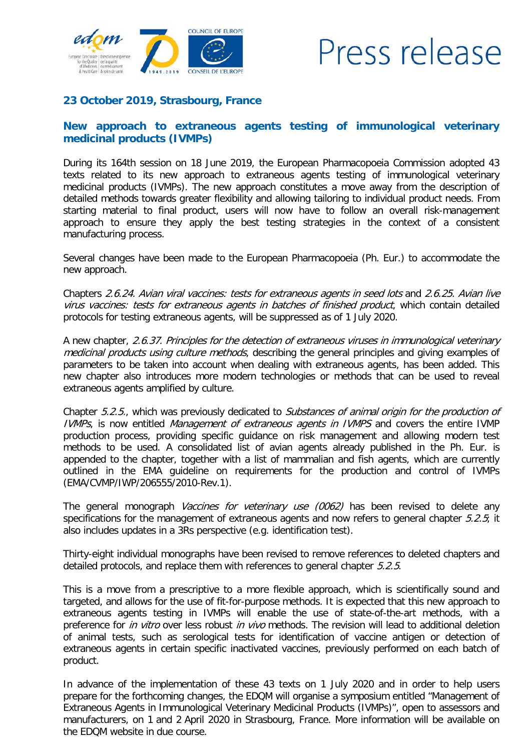

## Press release

## **23 October 2019, Strasbourg, France**

## **New approach to extraneous agents testing of immunological veterinary medicinal products (IVMPs)**

During its 164th session on 18 June 2019, the European Pharmacopoeia Commission adopted 43 texts related to its new approach to extraneous agents testing of immunological veterinary medicinal products (IVMPs). The new approach constitutes a move away from the description of detailed methods towards greater flexibility and allowing tailoring to individual product needs. From starting material to final product, users will now have to follow an overall risk-management approach to ensure they apply the best testing strategies in the context of a consistent manufacturing process.

Several changes have been made to the European Pharmacopoeia (Ph. Eur.) to accommodate the new approach.

Chapters 2.6.24. Avian viral vaccines: tests for extraneous agents in seed lots and 2.6.25. Avian live virus vaccines: tests for extraneous agents in batches of finished product, which contain detailed protocols for testing extraneous agents, will be suppressed as of 1 July 2020.

A new chapter, 2.6.37. Principles for the detection of extraneous viruses in immunological veterinary medicinal products using culture methods, describing the general principles and giving examples of parameters to be taken into account when dealing with extraneous agents, has been added. This new chapter also introduces more modern technologies or methods that can be used to reveal extraneous agents amplified by culture.

Chapter 5.2.5., which was previously dedicated to Substances of animal origin for the production of IVMPs, is now entitled Management of extraneous agents in IVMPS and covers the entire IVMP production process, providing specific guidance on risk management and allowing modern test methods to be used. A consolidated list of avian agents already published in the Ph. Eur. is appended to the chapter, together with a list of mammalian and fish agents, which are currently outlined in the EMA guideline on requirements for the production and control of IVMPs (EMA/CVMP/IWP/206555/2010-Rev.1).

The general monograph Vaccines for veterinary use (0062) has been revised to delete any specifications for the management of extraneous agents and now refers to general chapter  $5.2.5$ ; it also includes updates in a 3Rs perspective (e.g. identification test).

Thirty-eight individual monographs have been revised to remove references to deleted chapters and detailed protocols, and replace them with references to general chapter  $5.2.5$ .

This is a move from a prescriptive to a more flexible approach, which is scientifically sound and targeted, and allows for the use of fit-for-purpose methods. It is expected that this new approach to extraneous agents testing in IVMPs will enable the use of state-of-the-art methods, with a preference for *in vitro* over less robust *in vivo* methods. The revision will lead to additional deletion of animal tests, such as serological tests for identification of vaccine antigen or detection of extraneous agents in certain specific inactivated vaccines, previously performed on each batch of product.

In advance of the implementation of these 43 texts on 1 July 2020 and in order to help users prepare for the forthcoming changes, the EDQM will organise a symposium entitled "Management of Extraneous Agents in Immunological Veterinary Medicinal Products (IVMPs)", open to assessors and manufacturers, on 1 and 2 April 2020 in Strasbourg, France. More information will be available on the EDQM website in due course.